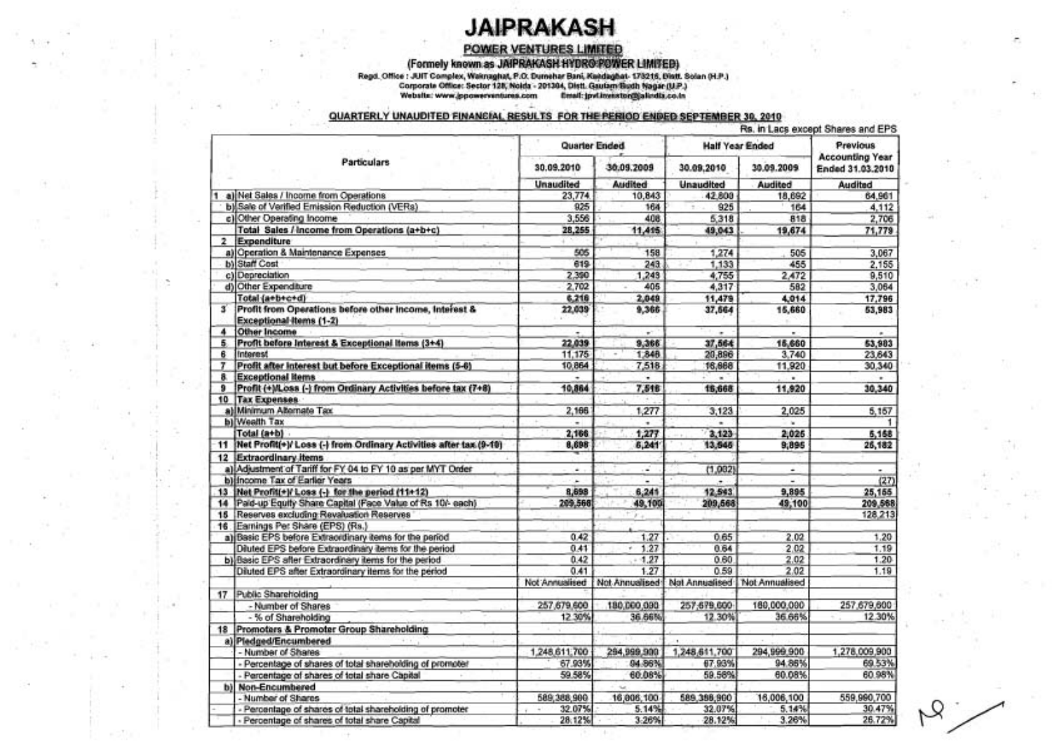## **JAIPRAKASH**

### POWER VENTURES LIMITED

(Formely known as JAIPRAKASH HYDRO POWER LIMITED)

Regd. Office : JUIT Complex, Waisnaghat, P.O. Durnshar Bani, Kandaghat- 178216, Distt. Solan (H.P.)<br>Corporate Office: Sector 128, Nolda - 201304, Distt. Gautam Badh Nagar (U.P.)<br>Website: www.jppowerventures.com Email: jpvL

### QUARTERLY UNAUDITED FINANCIAL RESULTS FOR THE PERIOD ENDED SEPTEMBER 30, 2010

|                    |                                                                                   |                          | Quarter Ended  | <b>Half Year Ended</b> | Previous<br><b>Accounting Year</b><br>Ended 31.03.2010 |               |            |
|--------------------|-----------------------------------------------------------------------------------|--------------------------|----------------|------------------------|--------------------------------------------------------|---------------|------------|
| <b>Particulars</b> |                                                                                   | 30.09.2010               | 30.09.2009     | 30.09,2010             |                                                        |               | 30.09.2009 |
|                    |                                                                                   | <b>Unaudited</b>         | Audited        | <b>Unaudited</b>       | Audited                                                | Audited       |            |
|                    | a) Net Sales / Income from Operations                                             | 23,774                   | 10,843         | 42.800                 | 18,692                                                 | 64.961        |            |
|                    | b) Sale of Verified Emission Reduction (VERs)                                     | 925                      | 164            | 925                    | 164                                                    | 4.112         |            |
|                    | c) Other Operating Income                                                         | 3.556                    | 408            | 5.318                  | 818                                                    | 2,706         |            |
|                    | Total Sales / Income from Operations (a+b+c)                                      | 28,255                   | 11,415         | 49,043                 | 19,674                                                 | 71,779        |            |
| $\overline{z}$     | Expenditure                                                                       |                          |                |                        |                                                        |               |            |
|                    | a) Operation & Maintenance Expenses                                               | 505                      | 158            | 1,274                  | 505                                                    | 3,067         |            |
|                    | b) Staff Cost                                                                     | 619                      | 243            | 1,133                  | 455                                                    | 2.155         |            |
|                    | c) Depreciation                                                                   | 2.390                    | 1,243          | 4,755                  | 2.472                                                  | 9,510         |            |
|                    | d) Other Expenditure                                                              | 2,702                    | 405            | 4,317                  | 582                                                    | 3,064         |            |
|                    | Total (a+b+c+d)                                                                   | 6,218                    | 2,049          | 11,479                 | 4.014                                                  | 17.796        |            |
| s                  | Profit from Operations before other income, Interest &<br>Exceptional Items (1-2) | 22,039                   | 9,366          | 37,664                 | 15,660                                                 | 53,983        |            |
| 4                  | Other Income                                                                      |                          |                |                        |                                                        |               |            |
| 5                  | Profit before Interest & Exceptional Items (3+4)                                  | 22,039                   | 9,366          | 37,564                 | 15,660                                                 | 53,983        |            |
| 6                  | Interest                                                                          | 11,175                   | 1,848          | 20,896                 | 3.740                                                  | 23.643        |            |
| 7                  | Profit after interest but before Exceptional items (5-6)                          | 10,864                   | 7,518          | 16,668                 | 11,920                                                 | 30,340        |            |
| 8.                 | <b>Exceptional Items</b>                                                          |                          | ٠              | ٠                      | ¥.                                                     | ٠             |            |
| 9                  | Profit (+)/Loss (-) from Ordinary Activities before tax (7+8)                     | 10,864                   | 7,518          | 16,668                 | 11,920                                                 | 30,340        |            |
|                    | 10 Tax Expenses                                                                   |                          |                |                        |                                                        |               |            |
|                    | a) Minimum Alternate Tax                                                          | 2,166                    | 1,277          | 3,123                  | 2.025                                                  | 5,157         |            |
|                    | b) Weelth Tax                                                                     |                          | ٠              | ۰                      | $\sim$                                                 |               |            |
|                    | Total (a+b)                                                                       | 2,166                    | 1,277          | 3,123                  | 2,025                                                  | 5,158         |            |
| 11                 | Net Profit(+)/ Loss (-) from Ordinary Activities after tax (9-10)                 | 8,698                    | 6,241          | 13,545                 | 9,895                                                  | 26,182        |            |
|                    | 12 Extraordinary items                                                            |                          |                |                        |                                                        |               |            |
|                    | a) Adjustment of Tariff for FY 04 to FY 10 as per MYT Order                       | ۰                        | i.             | (1,082)                | ۰                                                      | ۰.            |            |
|                    | b) Income Tax of Earlier Years                                                    | $\overline{\phantom{a}}$ |                |                        |                                                        | (27)          |            |
|                    | 13  Net Profit(+)/ Loss (-) for the period (11+12)                                | 8,698                    | 6,241          | 12,543                 | 9,895                                                  | 25,155        |            |
|                    | 14 Pald-up Equity Share Capital (Face Value of Rs 10/- each)                      | 209,568                  | 49,100         | 209,668                | 49,100                                                 | 209,568       |            |
|                    | 15 Reserves excluding Revaluation Reserves                                        |                          | w.             |                        |                                                        | 128.213       |            |
|                    | 16. Earnings Per Share (EPS) (Rs.)                                                |                          |                |                        |                                                        |               |            |
|                    | a) Basic EPS before Extraordinary tems for the period                             | 0.42                     | 1.27           | 0.65                   | 2.02                                                   | 1.20          |            |
|                    | Diluted EPS before Extraordinary items for the period                             | 0.41                     | 1.27           | 0.64                   | 2.02                                                   | 1.19          |            |
|                    | b) Basic EPS after Extraordinary items for the period                             | 0.42                     | $-1.27$        | 0.60.                  | 2.02                                                   | 1.20          |            |
|                    | Diluted EPS after Extraordinary items for the period                              | 0.41                     | 1.27           | 0.59                   | 2.02                                                   | 1.19          |            |
|                    |                                                                                   | Not Annualised           | Not Annualised |                        | Not Annualised Not Annualised                          |               |            |
|                    | 17 Public Shareholding                                                            |                          |                |                        |                                                        |               |            |
|                    | - Number of Shares                                                                | 257,679,600              | 180,000,000    | 257.679.600            | 160,000,000                                            | 257,679,600   |            |
|                    | - % of Shareholding                                                               | 12 30%                   | 36.66%         | 12.30%                 | 36.66%                                                 | 12.30%        |            |
|                    | 18 Promoters & Promoter Group Shareholding                                        |                          |                |                        |                                                        |               |            |
|                    | a) Pledged/Encumbered<br>9999                                                     |                          |                |                        |                                                        |               |            |
|                    | - Number of Shares                                                                | 1,248.611.700            | 294,999,900    | 1,248,611,700          | 294,999,900                                            | 1,278,009,900 |            |
|                    | - Percentage of shares of total shareholding of promoter                          | 67.93%                   | 84.86%         | 67.93%                 | 94.86%                                                 | 69 53%        |            |
|                    | - Percentage of shares of total share Capital                                     | 59.58%                   | 60.08%         | 59.58%                 | 60.08%                                                 | 60.98%        |            |
|                    | b) Non-Encumbered                                                                 |                          |                |                        |                                                        |               |            |
|                    | - Number of Shares                                                                | 589,388,900              | 16,006,100     | 589.388,900            | 16,006,100                                             | 559,990,700   |            |
|                    | Percentage of shares of total shareholding of promoter                            | 32.07%                   | 5.14%          | 32.07%                 | 5.14%                                                  | 30.47%        |            |
|                    | Percentage of shares of total share Capital                                       | 28:12%                   | 3.26%          | 28.12%                 | 3.26%                                                  | 26.72%        |            |

 $\mathcal{A}_1$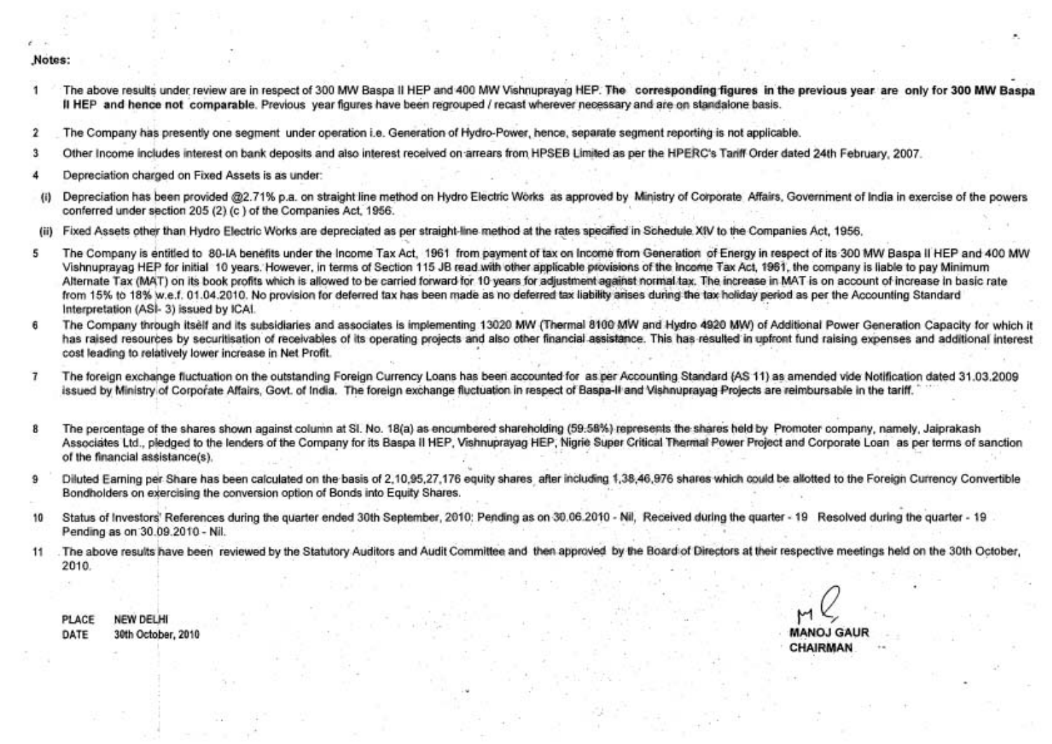#### **f.**  "Notes:

- The above results under review are in respect of 300 MW Baspa II HEP and 400 MW Vishnuprayag HEP. The corresponding figures in the previous year are only for 300 MW Baspa II HEP and hence not comparable. Previous year figures have been regrouped / recast wherever nesessaw and are on standalone basis.
- **2** The Company has presently one segment under operation i.e. Generation of Hydro-Pawer, hence, separate segment reporting is not applicable.
- 3 Other lncome includes interest on bank deposits and also interest received on.arrears from HPSEB Limited as per the HPERC'S Tariff Order dated 24th February, 2007.
- **4** Depreciation charged on Fixed Assets is as under:
- (i) Depreciation has been provided @2.71% p.a. on straight line method on Hydro Electric Works as approved by Ministry of Corporate Affairs, Government of India in exercise of the powers conferred under section 205 (2) (c ) of the Companies Act, 1956.
- Fixed Assets other than Hydro Electric Works are depreciated as per straight-line method at the rates specified in Schedule.XIV to the Companies Act, 1956.
- **<sup>5</sup>**The Company is entitled to 80-IA benefits under the lncome Tax Act, 1961 from payment of tax on lncome from Generation of Energy in respect of its 300 MW Baspa II HEP and 400 MW Vishnuprayag HEP for initial 10 years. However, in terms of Section 115 JB read with other applicable provisions of the Income Tax Act, 1961, the company is liable to pay Minimum Alternate Tax (MAT) on its book profits which is allowed to be carried forward for 10 years for adjustment against normal.tax. The increase in MAT is on account of increase in basic rate from 15% to 18% w.e.f. 01.04.2010. No provision for deferred tax has been made as no deferred tax liability arises during the tax holiday period as per the Accounting Standard Interpretation (AS/- 3) issued by ICAI.
- **6** The Company through itself and its subsidiaries and associates is implementing 13020 MW (Thermal 8100 MW and Hydro 4920 **MW)** of Additional Power Generation Capacity for which it has raised resources by securitisation of receivables of its operating projects and also other financial assistance. This has resulted in upfront fund raising expenses and additional interest cost leading to relatively lower increase in Net Profit.
- **7** The foreign exchange fluctuation on the outstanding Foreign Currency Loans has been accounted for as per Accounting Standard fAS 11) as amended vide Notification dated 31.03.2009 issued by Ministry of Corporate Affairs, Govt. of India. The foreign exchange fluctuation in respect of Baspa-II and Vishnuprayag Projects are reimbursable in the tariff.
- 8 The percentage of the shares shown against column at SI. No. 18(a) as encumbered shareholding (59.58%) represents the shares held by Promoter company, namely, Jaiprakash Associates Ltd., pledged to the lenders of the Company for its Baspa II HEP, Vishnuprayag HEP, Nigrie Super Critical Thermal Power Project and Corporate Loan as per terms of sanction of the financial assistance(s).
- 9 Diluted Earning per Share has been calculated on the basis of 2,10,95,27,176 equity shares, after including 1,38,46,976 shares which could be allotted to the Foreign Currency Convertible Bondholders on exercising the conversion option of Bonds into Equity Shares.
- 10 Status of Investors' References during the quarter ended 30th September, 2010: Pending as on 30.06.2010 Nil, Received during the quarter 19 Resolved during the quarter 19 Pending as on 30.09.2010 - Nil.
- 11 The above results have been reviewed by the Statutory Auditors and Audit Committee and then approved by the Board of Directors at their respective meetings held on the 30th October, 2010.

PLACE NEW DELHI DATE 30th October, 2010 MANOJ

**MANOJ GAUR CHAIRMAN**